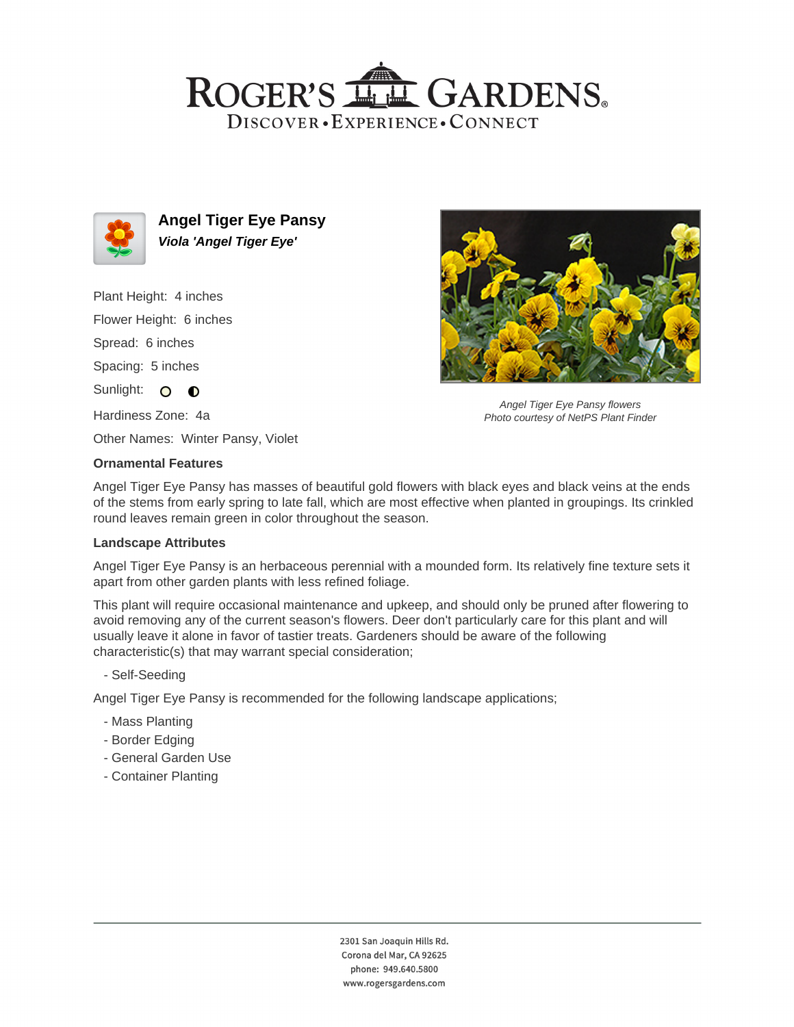# ROGER'S LL GARDENS. DISCOVER · EXPERIENCE · CONNECT



**Angel Tiger Eye Pansy Viola 'Angel Tiger Eye'**

Plant Height: 4 inches Flower Height: 6 inches Spread: 6 inches Spacing: 5 inches Sunlight: O O Hardiness Zone: 4a



Angel Tiger Eye Pansy flowers Photo courtesy of NetPS Plant Finder

Other Names: Winter Pansy, Violet

### **Ornamental Features**

Angel Tiger Eye Pansy has masses of beautiful gold flowers with black eyes and black veins at the ends of the stems from early spring to late fall, which are most effective when planted in groupings. Its crinkled round leaves remain green in color throughout the season.

#### **Landscape Attributes**

Angel Tiger Eye Pansy is an herbaceous perennial with a mounded form. Its relatively fine texture sets it apart from other garden plants with less refined foliage.

This plant will require occasional maintenance and upkeep, and should only be pruned after flowering to avoid removing any of the current season's flowers. Deer don't particularly care for this plant and will usually leave it alone in favor of tastier treats. Gardeners should be aware of the following characteristic(s) that may warrant special consideration;

- Self-Seeding

Angel Tiger Eye Pansy is recommended for the following landscape applications;

- Mass Planting
- Border Edging
- General Garden Use
- Container Planting

2301 San Joaquin Hills Rd. Corona del Mar, CA 92625 phone: 949.640.5800 www.rogersgardens.com